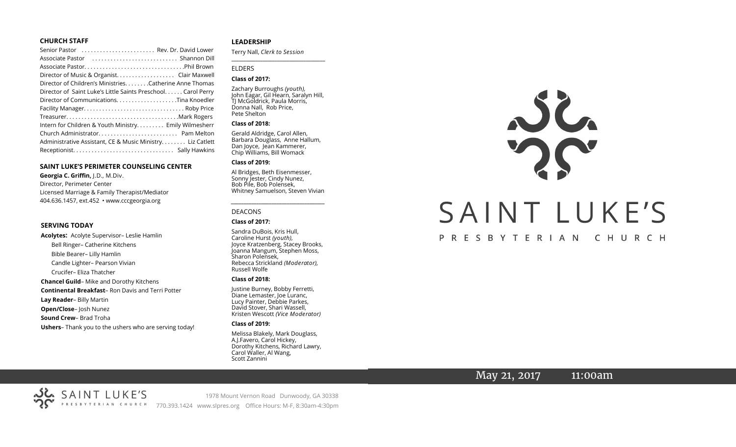#### **CHURCH STAFF**

| Senior Pastor  Rev. Dr. David Lower                           |
|---------------------------------------------------------------|
| Associate Pastor  Shannon Dill                                |
|                                                               |
| Director of Music & Organist. Clair Maxwell                   |
| Director of Children's Ministries. Catherine Anne Thomas      |
| Director of Saint Luke's Little Saints Preschool. Carol Perry |
|                                                               |
|                                                               |
|                                                               |
| Intern for Children & Youth Ministry Emily Wilmesherr         |
|                                                               |
| Administrative Assistant, CE & Music Ministry Liz Catlett     |
|                                                               |

#### **SAINT LUKE'S PERIMETER COUNSELING CENTER**

**Georgia C. Griffin,** J.D., M.Div. Director, Perimeter Center Licensed Marriage & Family Therapist/Mediator 404.636.1457, ext.452 • www.cccgeorgia.org

#### **SERVING TODAY**

**Acolytes:** Acolyte Supervisor– Leslie Hamlin Bell Ringer– Catherine Kitchens Bible Bearer– Lilly Hamlin Candle Lighter– Pearson Vivian Crucifer– Eliza Thatcher **Chancel Guild**– Mike and Dorothy Kitchens **Continental Breakfast**– Ron Davis and Terri Potter **Lay Reader**– Billy Martin **Open/Close**– Josh Nunez **Sound Crew**– Brad Troha **Ushers**– Thank you to the ushers who are serving today!

#### **LEADERSHIP**

Terry Nall, *Clerk to Session* 

**\_\_\_\_\_\_\_\_\_\_\_\_\_\_\_\_\_\_\_\_\_\_\_\_\_\_\_\_\_\_\_\_\_\_\_\_\_\_\_**

#### ELDERS

#### **Class of 2017:**

Zachary Burroughs *(youth),*  John Eagar, Gil Hearn, Saralyn Hill, TJ McGoldrick, Paula Morris, Donna Nall, Rob Price, Pete Shelton

#### **Class of 2018:**

Gerald Aldridge, Carol Allen, Barbara Douglass, Anne Hallum, Dan Joyce, Jean Kammerer, Chip Williams, Bill Womack

#### **Class of 2019:**

Al Bridges, Beth Eisenmesser, Sonny Jester, Cindy Nunez, Bob Pile, Bob Polensek, Whitney Samuelson, Steven Vivian

*\_\_\_\_\_\_\_\_\_\_\_\_\_\_\_\_\_\_\_\_\_\_\_\_\_\_\_\_\_\_\_\_\_\_\_\_\_*

## DEACONS

#### **Class of 2017:**

Sandra DuBois, Kris Hull, Caroline Hurst *(youth),* Joyce Kratzenberg, Stacey Brooks, Joanna Mangum, Stephen Moss, Sharon Polensek, Rebecca Strickland *(Moderator),*  Russell Wolfe

#### **Class of 2018:**

Justine Burney, Bobby Ferretti, Diane Lemaster, Joe Luranc, Lucy Painter, Debbie Parkes, David Stover, Shari Wassell, Kristen Wescott *(Vice Moderator)*

#### **Class of 2019:**

Melissa Blakely, Mark Douglass, A.J.Favero, Carol Hickey, Dorothy Kitchens, Richard Lawry, Carol Waller, Al Wang, Scott Zannini



## PRESBYTERIAN CHURCH

May 21, 2017 11:00am

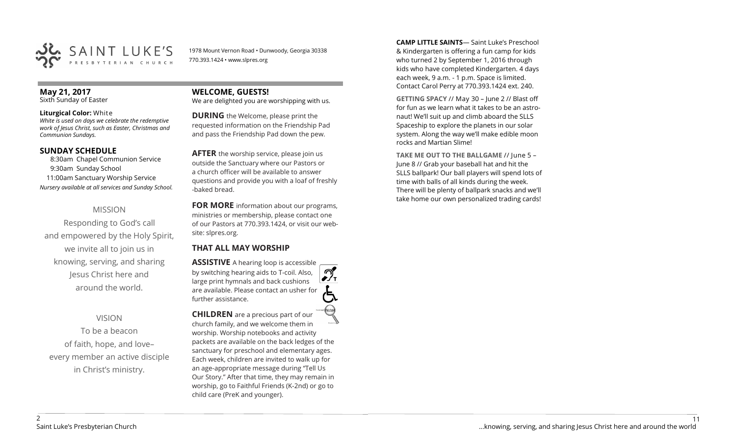

1978 Mount Vernon Road • Dunwoody, Georgia 30338 770.393.1424 • www.slpres.org

## **May 21, 2017**

Sixth Sunday of Easter

#### **Liturgical Color:** White

*White is used on days we celebrate the redemptive work of Jesus Christ, such as Easter, Christmas and Communion Sundays.*

## **SUNDAY SCHEDULE**

8:30am Chapel Communion Service 9:30am Sunday School 11:00am Sanctuary Worship Service *Nursery available at all services and Sunday School.*

## MISSION

Responding to God's call and empowered by the Holy Spirit, we invite all to join us in knowing, serving, and sharing Jesus Christ here and around the world.

## VISION

To be a beacon of faith, hope, and love– every member an active disciple in Christ's ministry.

## **WELCOME, GUESTS!**

We are delighted you are worshipping with us.

**DURING** the Welcome, please print the requested information on the Friendship Pad and pass the Friendship Pad down the pew.

**AFTER** the worship service, please join us outside the Sanctuary where our Pastors or a church officer will be available to answer questions and provide you with a loaf of freshly -baked bread.

**FOR MORE** information about our programs, ministries or membership, please contact one of our Pastors at 770.393.1424, or visit our website: slpres.org.

## **THAT ALL MAY WORSHIP**

**ASSISTIVE** A hearing loop is accessible  $\mathcal{D}_{\mathbf{r}}$ by switching hearing aids to T-coil. Also, large print hymnals and back cushions are available. Please contact an usher for further assistance. **CHILDREN** are a precious part of our

church family, and we welcome them in worship. Worship notebooks and activity packets are available on the back ledges of the sanctuary for preschool and elementary ages. Each week, children are invited to walk up for an age-appropriate message during "Tell Us Our Story." After that time, they may remain in worship, go to Faithful Friends (K-2nd) or go to child care (PreK and younger).

**CAMP LITTLE SAINTS**— Saint Luke's Preschool & Kindergarten is offering a fun camp for kids who turned 2 by September 1, 2016 through kids who have completed Kindergarten. 4 days each week, 9 a.m. - 1 p.m. Space is limited. Contact Carol Perry at 770.393.1424 ext. 240.

**GETTING SPACY** // May 30 – June 2 // Blast off for fun as we learn what it takes to be an astronaut! We'll suit up and climb aboard the SLLS Spaceship to explore the planets in our solar system. Along the way we'll make edible moon rocks and Martian Slime!

**TAKE ME OUT TO THE BALLGAME** // June 5 – June 8 // Grab your baseball hat and hit the SLLS ballpark! Our ball players will spend lots of time with balls of all kinds during the week. There will be plenty of ballpark snacks and we'll take home our own personalized trading cards!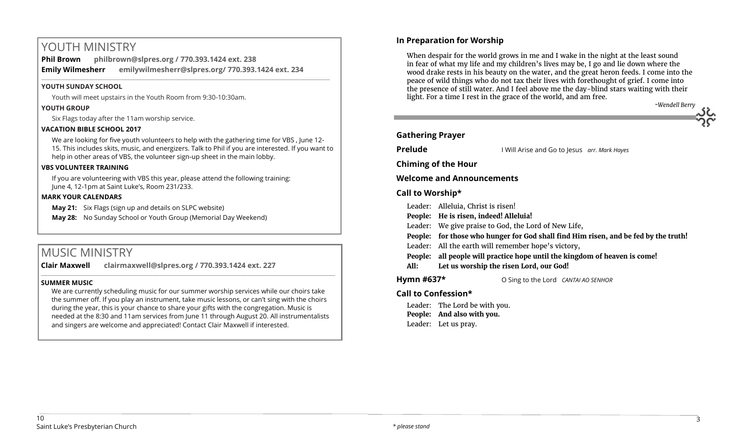# YOUTH MINISTRY

**Phil Brown philbrown@slpres.org / 770.393.1424 ext. 238 Emily Wilmesherr emilywilmesherr@slpres.org/ 770.393.1424 ext. 234**   $\_$  ,  $\_$  ,  $\_$  ,  $\_$  ,  $\_$  ,  $\_$  ,  $\_$  ,  $\_$  ,  $\_$  ,  $\_$  ,  $\_$  ,  $\_$  ,  $\_$  ,  $\_$  ,  $\_$  ,  $\_$  ,  $\_$  ,  $\_$  ,  $\_$  ,  $\_$ 

#### **YOUTH SUNDAY SCHOOL**

Youth will meet upstairs in the Youth Room from 9:30-10:30am.

#### **YOUTH GROUP**

Six Flags today after the 11am worship service.

## **VACATION BIBLE SCHOOL 2017**

We are looking for five youth volunteers to help with the gathering time for VBS , June 12- 15. This includes skits, music, and energizers. Talk to Phil if you are interested. If you want to help in other areas of VBS, the volunteer sign-up sheet in the main lobby.

#### **VBS VOLUNTEER TRAINING**

If you are volunteering with VBS this year, please attend the following training: June 4, 12-1pm at Saint Luke's, Room 231/233.

#### **MARK YOUR CALENDARS**

**May 21:** Six Flags (sign up and details on SLPC website)

**May 28:** No Sunday School or Youth Group (Memorial Day Weekend)

# MUSIC MINISTRY

**Clair Maxwell clairmaxwell@slpres.org / 770.393.1424 ext. 227**  \_\_\_\_\_\_\_\_\_\_\_\_\_\_\_\_\_\_\_\_\_\_\_\_\_\_\_\_\_\_\_\_\_\_\_\_\_\_\_\_\_\_\_\_\_\_\_\_\_\_\_\_\_\_\_\_\_\_\_\_\_\_\_\_\_\_\_\_\_\_\_\_\_\_\_\_\_\_\_\_\_\_\_\_\_\_\_\_\_\_\_\_\_\_\_\_\_\_\_\_

#### **SUMMER MUSIC**

We are currently scheduling music for our summer worship services while our choirs take the summer off. If you play an instrument, take music lessons, or can't sing with the choirs during the year, this is your chance to share your gifts with the congregation. Music is needed at the 8:30 and 11am services from June 11 through August 20. All instrumentalists and singers are welcome and appreciated! Contact Clair Maxwell if interested.

## **In Preparation for Worship**

When despair for the world grows in me and I wake in the night at the least sound in fear of what my life and my children's lives may be, I go and lie down where the wood drake rests in his beauty on the water, and the great heron feeds. I come into the peace of wild things who do not tax their lives with forethought of grief. I come into the presence of still water. And I feel above me the day-blind stars waiting with their light. For a time I rest in the grace of the world, and am free.



**Prelude** I Will Arise and Go to Jesus *arr. Mark Hayes*

**Chiming of the Hour**

**Welcome and Announcements** 

## **Call to Worship\***

- Leader: Alleluia, Christ is risen!
- **People: He is risen, indeed! Alleluia!**
- Leader: We give praise to God, the Lord of New Life,
- **People: for those who hunger for God shall find Him risen, and be fed by the truth!**
- Leader: All the earth will remember hope's victory,
- **People: all people will practice hope until the kingdom of heaven is come!**
- **All: Let us worship the risen Lord, our God!**

**Hymn #637\*** O Sing to the Lord *CANTAI AO SENHOR*

# **Call to Confession\***

Leader: The Lord be with you. **People: And also with you.** Leader: Let us pray.

*~Wendell Berry*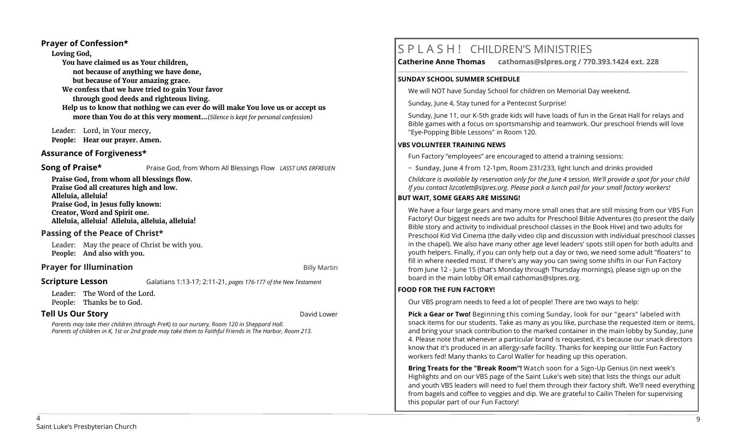#### **Prayer of Confession\***

**Loving God, You have claimed us as Your children, not because of anything we have done, but because of Your amazing grace. We confess that we have tried to gain Your favor through good deeds and righteous living. Help us to know that nothing we can ever do will make You love us or accept us more than You do at this very moment...***(Silence is kept for personal confession)* 

Leader: Lord, in Your mercy, **People: Hear our prayer. Amen.**

## **Assurance of Forgiveness\***

**Song of Praise\*** Praise God, from Whom All Blessings Flow *LASST UNS ERFREUEN* 

**Praise God, from whom all blessings flow. Praise God all creatures high and low. Alleluia, alleluia! Praise God, in Jesus fully known: Creator, Word and Spirit one. Alleluia, alleluia! Alleluia, alleluia, alleluia!** 

## **Passing of the Peace of Christ\***

Leader: May the peace of Christ be with you. **People: And also with you.**

## **Prayer for Illumination Billy Martin**

#### **Scripture Lesson** Galatians 1:13-17; 2:11-21, *pages 176-177 of the New Testament*

Leader: The Word of the Lord. People: Thanks be to God.

## **Tell Us Our Story David Lower David Lower Story David Lower David Lower**

 *Parents may take their children (through PreK) to our nursery, Room 120 in Sheppard Hall. Parents of children in K, 1st or 2nd grade may take them to Faithful Friends in The Harbor, Room 213.*

# S P L A S H ! CHILDREN'S MINISTRIES

**Catherine Anne Thomas cathomas@slpres.org / 770.393.1424 ext. 228 \_\_\_\_\_\_\_\_\_\_\_\_\_\_\_\_\_\_\_\_\_\_\_\_\_\_\_\_\_\_\_\_\_\_\_\_\_\_\_\_\_\_\_\_\_\_\_\_\_\_\_\_\_\_\_\_\_\_\_\_\_\_\_\_\_\_\_\_\_\_\_\_\_\_\_\_\_\_\_\_\_\_\_\_\_\_\_\_\_\_\_\_\_\_\_\_\_\_\_\_\_\_\_\_\_\_\_** 

#### **SUNDAY SCHOOL SUMMER SCHEDULE**

We will NOT have Sunday School for children on Memorial Day weekend.

Sunday, June 4, Stay tuned for a Pentecost Surprise!

Sunday, June 11, our K-5th grade kids will have loads of fun in the Great Hall for relays and Bible games with a focus on sportsmanship and teamwork. Our preschool friends will love "Eye-Popping Bible Lessons" in Room 120.

## **VBS VOLUNTEER TRAINING NEWS**

Fun Factory "employees" are encouraged to attend a training sessions:

~ **Sunday, June 4** from 12-1pm, Room 231/233, light lunch and drinks provided

*Childcare is available by reservation only for the June 4 session. We'll provide a spot for your child If you contact [lizcatlett@slpres.org.](mailto:lizcatlett@slpres.org) Please pack a lunch pail for your small factory workers!*

## **BUT WAIT, SOME GEARS ARE MISSING!**

We have a four large gears and many more small ones that are still missing from our VBS Fun Factory! Our biggest needs are two adults for Preschool Bible Adventures (to present the daily Bible story and activity to individual preschool classes in the Book Hive) and two adults for Preschool Kid Vid Cinema (the daily video clip and discussion with individual preschool classes in the chapel). We also have many other age level leaders' spots still open for both adults and youth helpers. Finally, if you can only help out a day or two, we need some adult "floaters" to fill in where needed most. If there's any way you can swing some shifts in our Fun Factory from June 12 - June 15 (that's Monday through Thursday mornings), please sign up on the board in the main lobby OR email [cathomas@slpres.org.](mailto:cathomas@slpres.orgThanks) 

## **FOOD FOR THE FUN FACTORY!**

Our VBS program needs to feed a lot of people! There are two ways to help:

**Pick a Gear or Two!** Beginning this coming Sunday, look for our "gears" labeled with snack items for our students. Take as many as you like, purchase the requested item or items, and bring your snack contribution to the marked container in the main lobby by Sunday, June 4. Please note that whenever a particular brand is requested, it's because our snack directors know that it's produced in an allergy-safe facility. Thanks for keeping our little Fun Factory workers fed! Many thanks to Carol Waller for heading up this operation.

**Bring Treats for the "Break Room"!** Watch soon for a Sign-Up Genius (in next week's Highlights and on our VBS page of the Saint Luke's web site) that lists the things our adult and youth VBS leaders will need to fuel them through their factory shift. We'll need everything from bagels and coffee to veggies and dip. We are grateful to Cailin Thelen for supervising this popular part of our Fun Factory!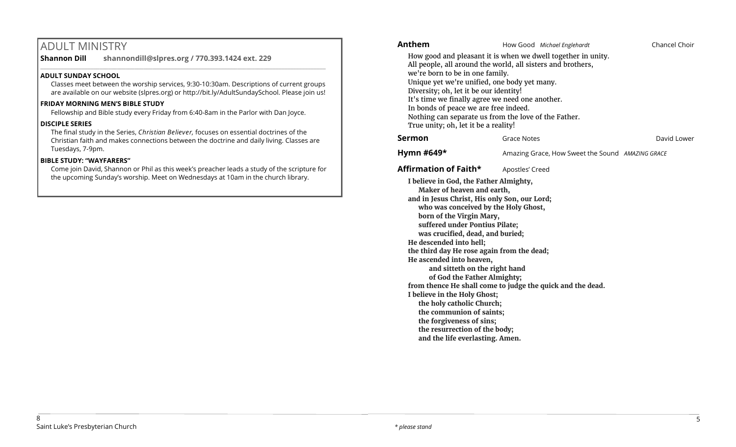# ADULT MINISTRY

**Shannon Dill shannondill@slpres.org / 770.393.1424 ext. 229**   $\_$  ,  $\_$  ,  $\_$  ,  $\_$  ,  $\_$  ,  $\_$  ,  $\_$  ,  $\_$  ,  $\_$  ,  $\_$  ,  $\_$  ,  $\_$  ,  $\_$  ,  $\_$  ,  $\_$  ,  $\_$  ,  $\_$  ,  $\_$  ,  $\_$  ,  $\_$ 

## **ADULT SUNDAY SCHOOL**

Classes meet between the worship services, 9:30-10:30am. Descriptions of current groups are available on our website (slpres.org) or http://bit.ly/AdultSundaySchool. Please join us!

#### **FRIDAY MORNING MEN'S BIBLE STUDY**

Fellowship and Bible study every Friday from 6:40-8am in the Parlor with Dan Joyce.

#### **DISCIPLE SERIES**

The final study in the Series, *Christian Believer,* focuses on essential doctrines of the Christian faith and makes connections between the doctrine and daily living. Classes are Tuesdays, 7-9pm.

## **BIBLE STUDY: "WAYFARERS"**

Come join David, Shannon or Phil as this week's preacher leads a study of the scripture for the upcoming Sunday's worship. Meet on Wednesdays at 10am in the church library.

## **Anthem** How Good *Michael Englehardt* Chancel Choir How good and pleasant it is when we dwell together in unity. All people, all around the world, all sisters and brothers, we're born to be in one family. Unique yet we're unified, one body yet many. Diversity; oh, let it be our identity! It's time we finally agree we need one another. In bonds of peace we are free indeed. Nothing can separate us from the love of the Father. True unity; oh, let it be a reality! **Sermon** Grace Notes **Grace Sermon** David Lower **Hymn #649\*** Amazing Grace, How Sweet the Sound AMAZING GRACE **Affirmation of Faith\*** Apostles' Creed **I believe in God, the Father Almighty, Maker of heaven and earth, and in Jesus Christ, His only Son, our Lord; who was conceived by the Holy Ghost, born of the Virgin Mary, suffered under Pontius Pilate; was crucified, dead, and buried; He descended into hell; the third day He rose again from the dead; He ascended into heaven, and sitteth on the right hand of God the Father Almighty; from thence He shall come to judge the quick and the dead. I believe in the Holy Ghost; the holy catholic Church; the communion of saints; the forgiveness of sins; the resurrection of the body;**

**and the life everlasting. Amen.**